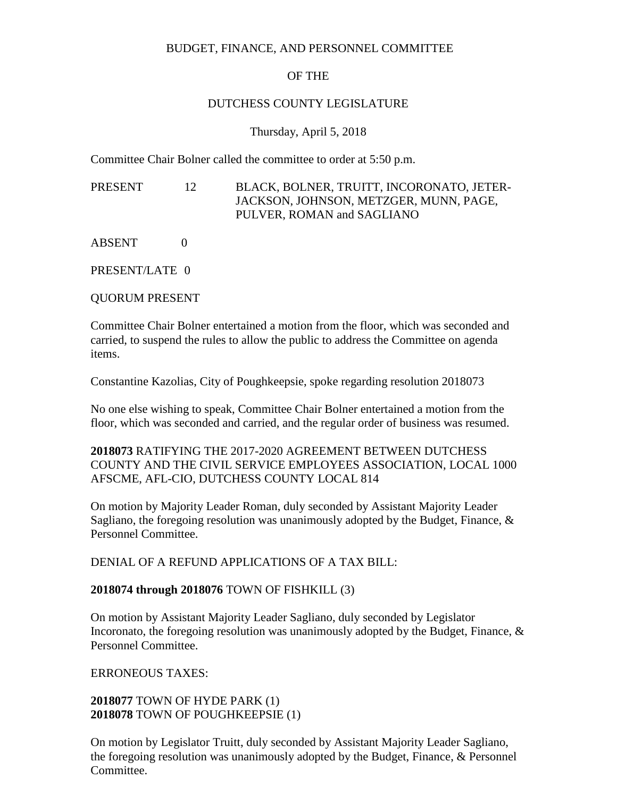## BUDGET, FINANCE, AND PERSONNEL COMMITTEE

# OF THE

### DUTCHESS COUNTY LEGISLATURE

### Thursday, April 5, 2018

Committee Chair Bolner called the committee to order at 5:50 p.m.

PRESENT 12 BLACK, BOLNER, TRUITT, INCORONATO, JETER-JACKSON, JOHNSON, METZGER, MUNN, PAGE, PULVER, ROMAN and SAGLIANO

ABSENT 0

PRESENT/LATE 0

QUORUM PRESENT

Committee Chair Bolner entertained a motion from the floor, which was seconded and carried, to suspend the rules to allow the public to address the Committee on agenda items.

Constantine Kazolias, City of Poughkeepsie, spoke regarding resolution 2018073

No one else wishing to speak, Committee Chair Bolner entertained a motion from the floor, which was seconded and carried, and the regular order of business was resumed.

**2018073** RATIFYING THE 2017-2020 AGREEMENT BETWEEN DUTCHESS COUNTY AND THE CIVIL SERVICE EMPLOYEES ASSOCIATION, LOCAL 1000 AFSCME, AFL-CIO, DUTCHESS COUNTY LOCAL 814

On motion by Majority Leader Roman, duly seconded by Assistant Majority Leader Sagliano, the foregoing resolution was unanimously adopted by the Budget, Finance, & Personnel Committee.

DENIAL OF A REFUND APPLICATIONS OF A TAX BILL:

## **2018074 through 2018076** TOWN OF FISHKILL (3)

On motion by Assistant Majority Leader Sagliano, duly seconded by Legislator Incoronato, the foregoing resolution was unanimously adopted by the Budget, Finance, & Personnel Committee.

ERRONEOUS TAXES:

**2018077** TOWN OF HYDE PARK (1) **2018078** TOWN OF POUGHKEEPSIE (1)

On motion by Legislator Truitt, duly seconded by Assistant Majority Leader Sagliano, the foregoing resolution was unanimously adopted by the Budget, Finance, & Personnel Committee.